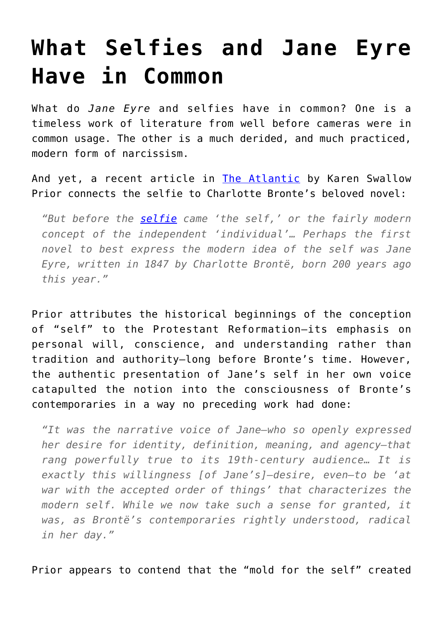## **[What Selfies and Jane Eyre](https://intellectualtakeout.org/2016/03/what-selfies-and-jane-eyre-have-in-common/) [Have in Common](https://intellectualtakeout.org/2016/03/what-selfies-and-jane-eyre-have-in-common/)**

What do *Jane Eyre* and selfies have in common? One is a timeless work of literature from well before cameras were in common usage. The other is a much derided, and much practiced, modern form of narcissism.

And yet, a recent article in [The Atlantic](http://www.theatlantic.com/entertainment/archive/2016/03/how-jane-eyre-created-the-modern-self/460461/) by Karen Swallow Prior connects the selfie to Charlotte Bronte's beloved novel:

*"But before the [selfie](http://www.newyorker.com/culture/photo-booth/finding-the-self-in-a-selfie) came 'the self,' or the fairly modern concept of the independent 'individual'… Perhaps the first novel to best express the modern idea of the self was Jane Eyre, written in 1847 by Charlotte Brontë, born 200 years ago this year."*

Prior attributes the historical beginnings of the conception of "self" to the Protestant Reformation—its emphasis on personal will, conscience, and understanding rather than tradition and authority—long before Bronte's time. However, the authentic presentation of Jane's self in her own voice catapulted the notion into the consciousness of Bronte's contemporaries in a way no preceding work had done:

*"It was the narrative voice of Jane—who so openly expressed her desire for identity, definition, meaning, and agency—that rang powerfully true to its 19th-century audience… It is exactly this willingness [of Jane's]—desire, even—to be 'at war with the accepted order of things' that characterizes the modern self. While we now take such a sense for granted, it was, as Brontë's contemporaries rightly understood, radical in her day."*

Prior appears to contend that the "mold for the self" created